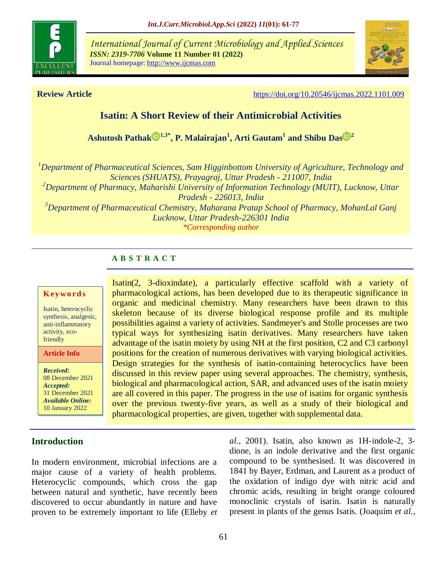

*International Journal of Current Microbiology and Applied Sciences ISSN: 2319-7706* **Volume 11 Number 01 (2022)**  Journal homepage: http://www.ijcmas.com



**Review Article** <https://doi.org/10.20546/ijcmas.2022.1101.009>

# **Isatin: A Short Review of their Antimicrobial Activities**

**[Ashutosh Pathak](https://orcid.org/0000-0003-0286-0402) 1,3\* , P. Malairajan<sup>1</sup> , Arti Gautam<sup>1</sup> and [Shibu Das](https://orcid.org/0000-0002-5973-7408) <sup>2</sup>**

*<sup>1</sup>Department of Pharmaceutical Sciences, Sam Higginbottom University of Agriculture, Technology and Sciences (SHUATS), Prayagraj, Uttar Pradesh - 211007, India*

*<sup>2</sup>Department of Pharmacy, Maharishi University of Information Technology (MUIT), Lucknow, Uttar Pradesh - 226013, India*

*<sup>3</sup>Department of Pharmaceutical Chemistry, Maharana Pratap School of Pharmacy, MohanLal Ganj Lucknow, Uttar Pradesh-226301 India \*Corresponding author*

## **A B S T R A C T**

#### **K ey w o rd s**

Isatin, heterocyclic synthesis, analgesic, anti-inflammatory activity, ecofriendly

**Article Info**

*Received:*  08 December 2021 *Accepted:*  31 December 2021 *Available Online:* 10 January 2022

## **Introduction**

Isatin(2, 3-dioxindate), a particularly effective scaffold with a variety of pharmacological actions, has been developed due to its therapeutic significance in organic and medicinal chemistry. Many researchers have been drawn to this skeleton because of its diverse biological response profile and its multiple possibilities against a variety of activities. Sandmeyer's and Stolle processes are two typical ways for synthesizing isatin derivatives. Many researchers have taken advantage of the isatin moiety by using NH at the first position, C2 and C3 carbonyl positions for the creation of numerous derivatives with varying biological activities. Design strategies for the synthesis of isatin-containing heterocyclics have been discussed in this review paper using several approaches. The chemistry, synthesis, biological and pharmacological action, SAR, and advanced uses of the isatin moiety are all covered in this paper. The progress in the use of isatins for organic synthesis over the previous twenty-five years, as well as a study of their biological and pharmacological properties, are given, together with supplemental data.

In modern environment, microbial infections are a major cause of a variety of health problems. Heterocyclic compounds, which cross the gap between natural and synthetic, have recently been discovered to occur abundantly in nature and have proven to be extremely important to life (Elleby *et*  *al.,* 2001). Isatin, also known as 1H-indole-2, 3 dione, is an indole derivative and the first organic compound to be synthesised. It was discovered in 1841 by Bayer, Erdman, and Laurent as a product of the oxidation of indigo dye with nitric acid and chromic acids, resulting in bright orange coloured monoclinic crystals of isatin. Isatin is naturally present in plants of the genus Isatis. (Joaquim *et al.,*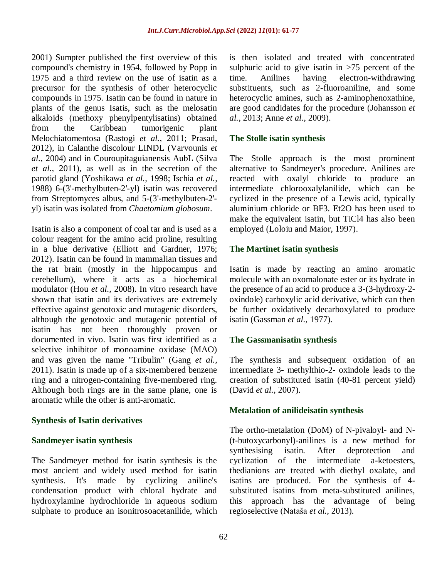2001) Sumpter published the first overview of this compound's chemistry in 1954, followed by Popp in 1975 and a third review on the use of isatin as a precursor for the synthesis of other heterocyclic compounds in 1975. Isatin can be found in nature in plants of the genus Isatis, such as the melosatin alkaloids (methoxy phenylpentylisatins) obtained from the Caribbean tumorigenic plant Melochiatomentosa (Rastogi *et al.,* 2011; Prasad, 2012), in Calanthe discolour LINDL (Varvounis *et al.,* 2004) and in Couroupitaguianensis AubL (Silva *et al.,* 2011), as well as in the secretion of the parotid gland (Yoshikawa *et al.,* 1998; Ischia *et al.,* 1988) 6-(3'-methylbuten-2'-yl) isatin was recovered from Streptomyces albus, and 5-(3'-methylbuten-2' yl) isatin was isolated from *Chaetomium globosum*.

Isatin is also a component of coal tar and is used as a colour reagent for the amino acid proline, resulting in a blue derivative (Elliott and Gardner, 1976; 2012). Isatin can be found in mammalian tissues and the rat brain (mostly in the hippocampus and cerebellum), where it acts as a biochemical modulator (Hou *et al.,* 2008). In vitro research have shown that isatin and its derivatives are extremely effective against genotoxic and mutagenic disorders, although the genotoxic and mutagenic potential of isatin has not been thoroughly proven or documented in vivo. Isatin was first identified as a selective inhibitor of monoamine oxidase (MAO) and was given the name "Tribulin" (Gang *et al.,* 2011). Isatin is made up of a six-membered benzene ring and a nitrogen-containing five-membered ring. Although both rings are in the same plane, one is aromatic while the other is anti-aromatic.

## **Synthesis of Isatin derivatives**

#### **Sandmeyer isatin synthesis**

The Sandmeyer method for isatin synthesis is the most ancient and widely used method for isatin synthesis. It's made by cyclizing aniline's condensation product with chloral hydrate and hydroxylamine hydrochloride in aqueous sodium sulphate to produce an isonitrosoacetanilide, which is then isolated and treated with concentrated sulphuric acid to give isatin in  $>75$  percent of the time. Anilines having electron-withdrawing substituents, such as 2-fluoroaniline, and some heterocyclic amines, such as 2-aminophenoxathine, are good candidates for the procedure (Johansson *et al.,* 2013; Anne *et al.,* 2009).

## **The Stolle isatin synthesis**

The Stolle approach is the most prominent alternative to Sandmeyer's procedure. Anilines are reacted with oxalyl chloride to produce an intermediate chlorooxalylanilide, which can be cyclized in the presence of a Lewis acid, typically aluminium chloride or BF3. Et2O has been used to make the equivalent isatin, but TiCl4 has also been employed (Loloiu and Maior, 1997).

## **The Martinet isatin synthesis**

Isatin is made by reacting an amino aromatic molecule with an oxomalonate ester or its hydrate in the presence of an acid to produce a 3-(3-hydroxy-2 oxindole) carboxylic acid derivative, which can then be further oxidatively decarboxylated to produce isatin (Gassman *et al.,* 1977).

## **The Gassmanisatin synthesis**

The synthesis and subsequent oxidation of an intermediate 3- methylthio-2- oxindole leads to the creation of substituted isatin (40-81 percent yield) (David *et al.,* 2007).

## **Metalation of anilideisatin synthesis**

The ortho-metalation (DoM) of N-pivaloyl- and N- (t-butoxycarbonyl)-anilines is a new method for synthesising isatin. After deprotection and cyclization of the intermediate a-ketoesters, thedianions are treated with diethyl oxalate, and isatins are produced. For the synthesis of 4 substituted isatins from meta-substituted anilines, this approach has the advantage of being regioselective (Nataša *et al.,* 2013).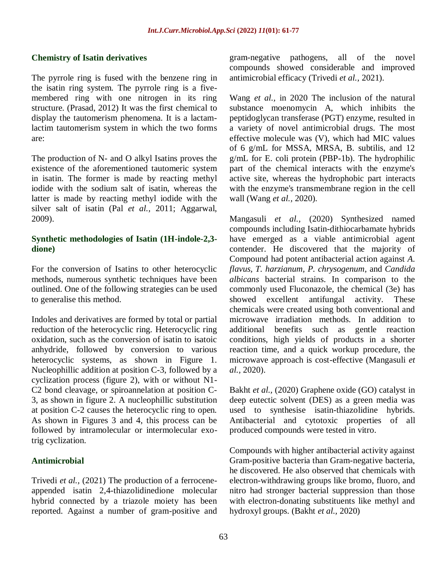#### **Chemistry of Isatin derivatives**

The pyrrole ring is fused with the benzene ring in the isatin ring system. The pyrrole ring is a fivemembered ring with one nitrogen in its ring structure. (Prasad, 2012) It was the first chemical to display the tautomerism phenomena. It is a lactamlactim tautomerism system in which the two forms are:

The production of N- and O alkyl Isatins proves the existence of the aforementioned tautomeric system in isatin. The former is made by reacting methyl iodide with the sodium salt of isatin, whereas the latter is made by reacting methyl iodide with the silver salt of isatin (Pal *et al.,* 2011; Aggarwal, 2009).

#### **Synthetic methodologies of Isatin (1H-indole-2,3 dione)**

For the conversion of Isatins to other heterocyclic methods, numerous synthetic techniques have been outlined. One of the following strategies can be used to generalise this method.

Indoles and derivatives are formed by total or partial reduction of the heterocyclic ring. Heterocyclic ring oxidation, such as the conversion of isatin to isatoic anhydride, followed by conversion to various heterocyclic systems, as shown in Figure 1. Nucleophillic addition at position C-3, followed by a cyclization process (figure 2), with or without N1- C2 bond cleavage, or spiroannelation at position C-3, as shown in figure 2. A nucleophillic substitution at position C-2 causes the heterocyclic ring to open. As shown in Figures 3 and 4, this process can be followed by intramolecular or intermolecular exotrig cyclization.

## **Antimicrobial**

Trivedi *et al.,* (2021) The production of a ferroceneappended isatin 2,4-thiazolidinedione molecular hybrid connected by a triazole moiety has been reported. Against a number of gram-positive and

gram-negative pathogens, all of the novel compounds showed considerable and improved antimicrobial efficacy [\(Trivedi](https://www.sciencedirect.com/science/article/abs/pii/S0022328X21000371#!) *et al.,* 2021).

Wang *et al.,* in 2020 The inclusion of the natural substance moenomycin A, which inhibits the peptidoglycan transferase (PGT) enzyme, resulted in a variety of novel antimicrobial drugs. The most effective molecule was (V), which had MIC values of 6 g/mL for MSSA, MRSA, B. subtilis, and 12 g/mL for E. coli protein (PBP-1b). The hydrophilic part of the chemical interacts with the enzyme's active site, whereas the hydrophobic part interacts with the enzyme's transmembrane region in the cell wall (Wang *et al.,* 2020).

Mangasuli *et al.,* (2020) Synthesized named compounds including Isatin-dithiocarbamate hybrids have emerged as a viable antimicrobial agent contender. He discovered that the majority of Compound had potent antibacterial action against *A. flavus, T. harzianum, P. chrysogenum*, and *Candida albicans* bacterial strains. In comparison to the commonly used Fluconazole, the chemical (3e) has showed excellent antifungal activity. These chemicals were created using both conventional and microwave irradiation methods. In addition to additional benefits such as gentle reaction conditions, high yields of products in a shorter reaction time, and a quick workup procedure, the microwave approach is cost-effective (Mangasuli *et al.,* 2020).

Bakht *et al.,* (2020) Graphene oxide (GO) catalyst in deep eutectic solvent (DES) as a green media was used to synthesise isatin-thiazolidine hybrids. Antibacterial and cytotoxic properties of all produced compounds were tested in vitro.

Compounds with higher antibacterial activity against Gram-positive bacteria than Gram-negative bacteria, he discovered. He also observed that chemicals with electron-withdrawing groups like bromo, fluoro, and nitro had stronger bacterial suppression than those with electron-donating substituents like methyl and hydroxyl groups. (Bakht *et al.,* 2020)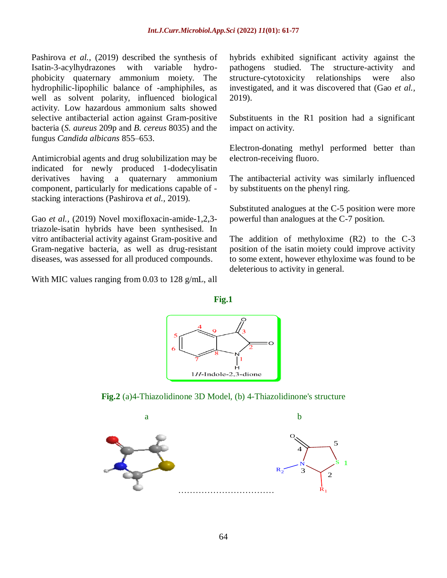Pashirova *et al.*, (2019) described the synthesis of Isatin-3-acylhydrazones with variable hydrophobicity quaternary ammonium moiety. The hydrophilic-lipophilic balance of -amphiphiles, as well as solvent polarity, influenced biological activity. Low hazardous ammonium salts showed selective antibacterial action against Gram-positive bacteria (*S. aureus* 209p and *B. cereus* 8035) and the fungus *Candida albicans* 855–653.

Antimicrobial agents and drug solubilization may be indicated for newly produced 1-dodecylisatin derivatives having a quaternary ammonium component, particularly for medications capable of stacking interactions (Pashirova *et al.,* 2019).

Gao *et al.,* (2019) Novel moxifloxacin-amide-1,2,3 triazole-isatin hybrids have been synthesised. In vitro antibacterial activity against Gram-positive and Gram-negative bacteria, as well as drug-resistant diseases, was assessed for all produced compounds.

With MIC values ranging from 0.03 to 128 g/mL, all

hybrids exhibited significant activity against the pathogens studied. The structure-activity and structure-cytotoxicity relationships were also investigated, and it was discovered that (Gao *et al.,*  2019).

Substituents in the R1 position had a significant impact on activity.

Electron-donating methyl performed better than electron-receiving fluoro.

The antibacterial activity was similarly influenced by substituents on the phenyl ring.

Substituted analogues at the C-5 position were more powerful than analogues at the C-7 position.

The addition of methyloxime (R2) to the C-3 position of the isatin moiety could improve activity to some extent, however ethyloxime was found to be deleterious to activity in general.





**Fig.2** (a)4-Thiazolidinone 3D Model, (b) 4-Thiazolidinone's structure

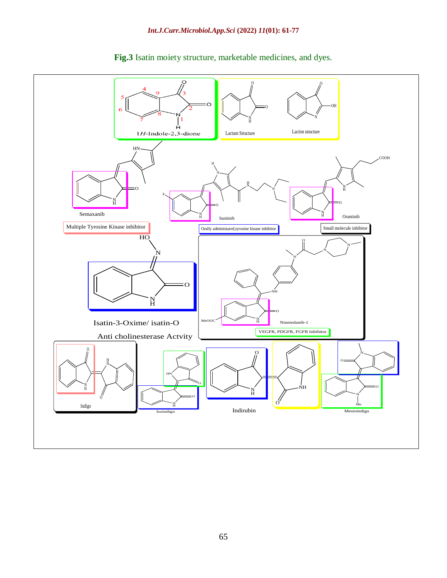

**Fig.3** Isatin moiety structure, marketable medicines, and dyes.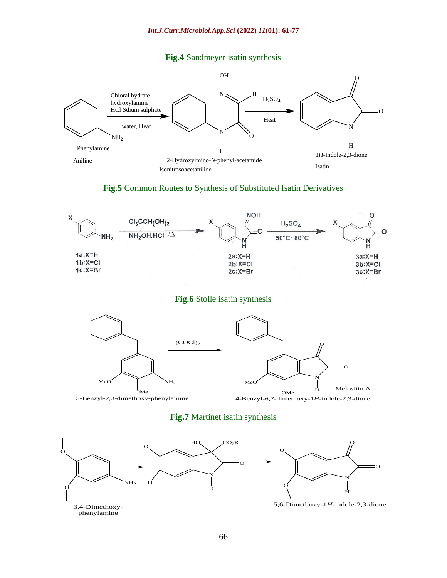#### **Fig.4** Sandmeyer isatin synthesis



#### **Fig.5** Common Routes to Synthesis of Substituted Isatin Derivatives



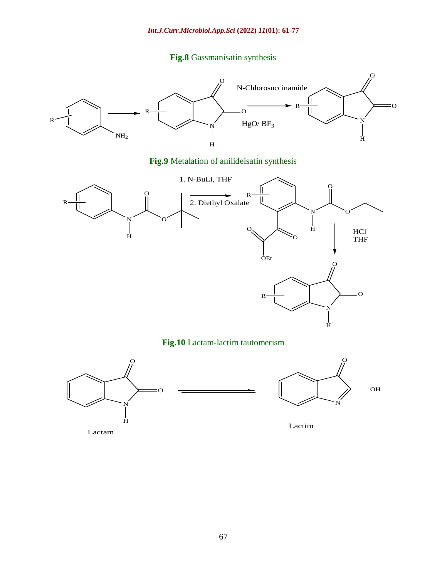## **Fig.8** Gassmanisatin synthesis



**Fig.9** Metalation of anilideisatin synthesis



**Fig.10** Lactam-lactim tautomerism



Lactam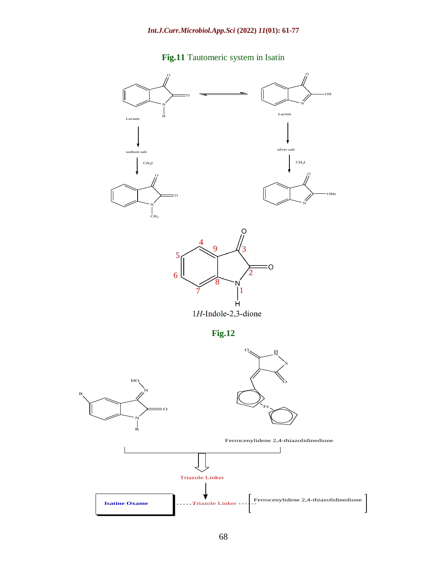# **Fig.11** Tautomeric system in Isatin

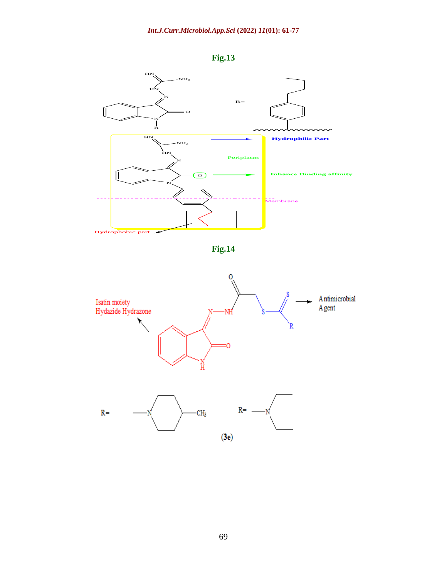

**Fig.13**



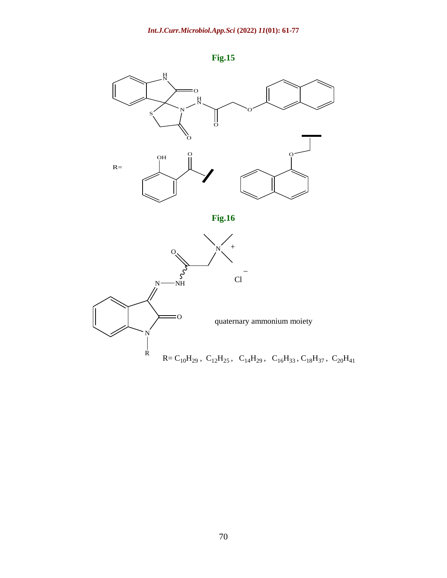

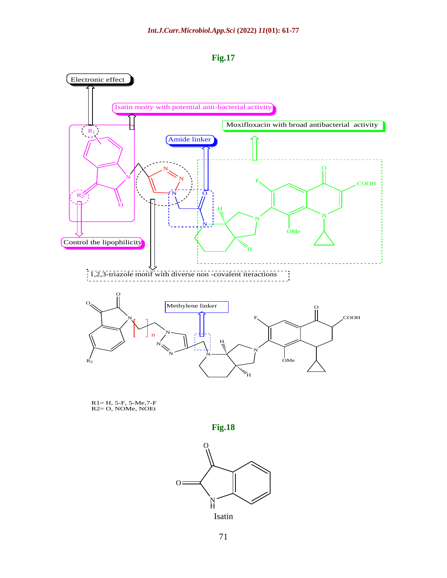



R1= H, 5-F, 5-Me,7-F R2= O, NOMe, NOEt



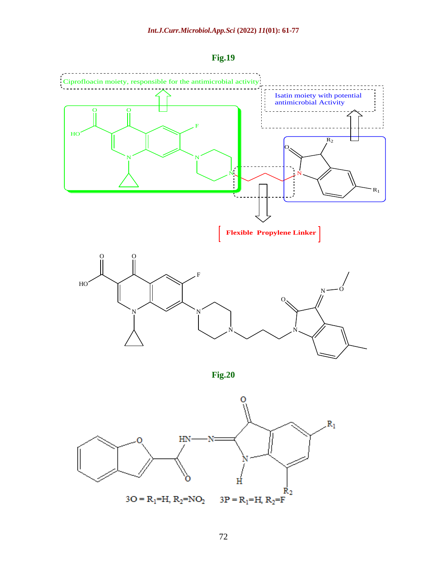

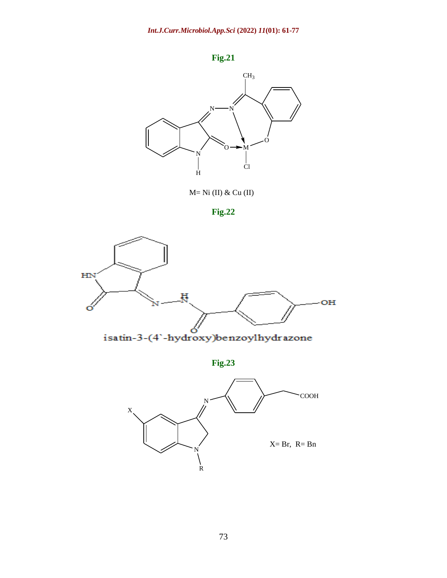



M= Ni (II) & Cu (II)





**Fig.23**

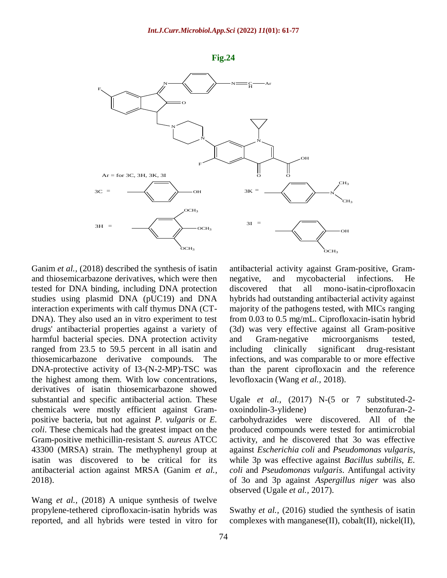



Ganim *et al.*, (2018) described the synthesis of isatin and thiosemicarbazone derivatives, which were then tested for DNA binding, including DNA protection studies using plasmid DNA (pUC19) and DNA interaction experiments with calf thymus DNA (CT-DNA). They also used an in vitro experiment to test drugs' antibacterial properties against a variety of harmful bacterial species. DNA protection activity ranged from 23.5 to 59.5 percent in all isatin and thiosemicarbazone derivative compounds. The DNA-protective activity of I3-(N-2-MP)-TSC was the highest among them. With low concentrations, derivatives of isatin thiosemicarbazone showed substantial and specific antibacterial action. These chemicals were mostly efficient against Grampositive bacteria, but not against *P. vulgaris* or *E. coli*. These chemicals had the greatest impact on the Gram-positive methicillin-resistant *S. aureus* ATCC 43300 (MRSA) strain. The methyphenyl group at isatin was discovered to be critical for its antibacterial action against MRSA (Ganim *et al.,* 2018).

Wang *et al.,* (2018) A unique synthesis of twelve propylene-tethered ciprofloxacin-isatin hybrids was reported, and all hybrids were tested in vitro for

antibacterial activity against Gram-positive, Gramnegative, and mycobacterial infections. He discovered that all mono-isatin-ciprofloxacin hybrids had outstanding antibacterial activity against majority of the pathogens tested, with MICs ranging from 0.03 to 0.5 mg/mL. Ciprofloxacin-isatin hybrid (3d) was very effective against all Gram-positive and Gram-negative microorganisms tested, including clinically significant drug-resistant infections, and was comparable to or more effective than the parent ciprofloxacin and the reference levofloxacin (Wang *et al.,* 2018).

Ugale *et al.,* (2017) N-(5 or 7 substituted-2 oxoindolin-3-ylidene) benzofuran-2 carbohydrazides were discovered. All of the produced compounds were tested for antimicrobial activity, and he discovered that 3o was effective against *Escherichia coli* and *Pseudomonas vulgaris*, while 3p was effective against *Bacillus subtilis, E. coli* and *Pseudomonas vulgaris*. Antifungal activity of 3o and 3p against *Aspergillus niger* was also observed (Ugale *et al.,* 2017).

Swathy *et al.,* (2016) studied the synthesis of isatin complexes with manganese(II), cobalt(II), nickel(II),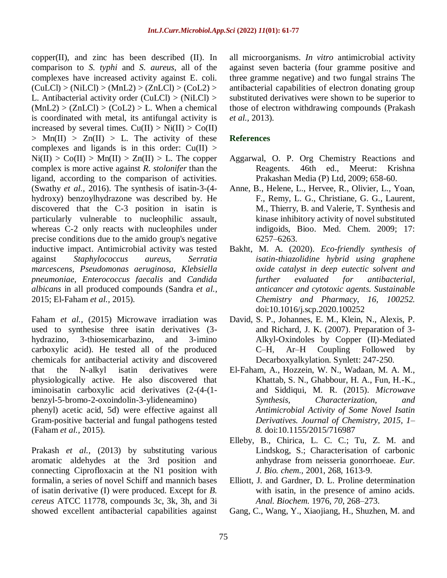copper(II), and zinc has been described (II). In comparison to *S. typhi* and *S. aureus*, all of the complexes have increased activity against E. coli.  $(CuLCl) > (NilCl) > (MnL2) > (ZnLCl) > (CoL2) >$ L. Antibacterial activity order  $(CuLCI) > (NiLCI) >$  $(MnL2)$  >  $(ZnLCI)$  >  $(CoL2)$  > L. When a chemical is coordinated with metal, its antifungal activity is increased by several times.  $Cu(II) > Ni(II) > Co(II)$  $> Mn(II) > Zn(II) > L$ . The activity of these complexes and ligands is in this order:  $Cu(II) >$  $Ni(II) > Co(II) > Mn(II) > Zn(II) > L$ . The copper complex is more active against *R. stolonifer* than the ligand, according to the comparison of activities. (Swathy *et al.,* 2016). The synthesis of isatin-3-(4 hydroxy) benzoylhydrazone was described by. He discovered that the C-3 position in isatin is particularly vulnerable to nucleophilic assault, whereas C-2 only reacts with nucleophiles under precise conditions due to the amido group's negative inductive impact. Antimicrobial activity was tested against *Staphylococcus aureus, Serratia marcescens, Pseudomonas aeruginosa, Klebsiella pneumoniae, Enterococcus faecalis* and *Candida albicans* in all produced compounds (Sandra *et al.,* 2015; El-Faham *et al.,* 2015).

Faham *et al.,* (2015) Microwave irradiation was used to synthesise three isatin derivatives (3 hydrazino, 3-thiosemicarbazino, and 3-imino carboxylic acid). He tested all of the produced chemicals for antibacterial activity and discovered that the N-alkyl isatin derivatives were physiologically active. He also discovered that iminoisatin carboxylic acid derivatives (2-(4-(1 benzyl-5-bromo-2-oxoindolin-3-ylideneamino)

phenyl) acetic acid, 5d) were effective against all Gram-positive bacterial and fungal pathogens tested (Faham *et al.,* 2015).

Prakash *et al.,* (2013) by substituting various aromatic aldehydes at the 3rd position and connecting Ciprofloxacin at the N1 position with formalin, a series of novel Schiff and mannich bases of isatin derivative (I) were produced. Except for *B. cereus* ATCC 11778, compounds 3c, 3k, 3h, and 3i showed excellent antibacterial capabilities against

all microorganisms. *In vitro* antimicrobial activity against seven bacteria (four gramme positive and three gramme negative) and two fungal strains The antibacterial capabilities of electron donating group substituted derivatives were shown to be superior to those of electron withdrawing compounds (Prakash *et al.,* 2013).

#### **References**

- Aggarwal, O. P. Org Chemistry Reactions and Reagents. 46th ed., Meerut: Krishna Prakashan Media (P) Ltd, 2009; 658-60.
- Anne, B., Helene, L., Hervee, R., Olivier, L., Yoan, F., Remy, L. G., Christiane, G. G., Laurent, M., Thierry, B. and Valerie, T. Synthesis and kinase inhibitory activity of novel substituted indigoids, Bioo. Med. Chem. 2009; 17: 6257–6263.
- Bakht, M. A. (2020). *Eco-friendly synthesis of isatin-thiazolidine hybrid using graphene oxide catalyst in deep eutectic solvent and further evaluated for antibacterial, anticancer and cytotoxic agents. Sustainable Chemistry and Pharmacy, 16, 100252.* doi:10.1016/j.scp.2020.100252
- David, S. P., Johannes, E. M., Klein, N., Alexis, P. and Richard, J. K. (2007). Preparation of 3- Alkyl-Oxindoles by Copper (II)-Mediated C–H, Ar–H Coupling Followed by Decarboxyalkylation. Synlett: 247-250.
- El-Faham, A., Hozzein, W. N., Wadaan, M. A. M., Khattab, S. N., Ghabbour, H. A., Fun, H.-K., and Siddiqui, M. R. (2015). *Microwave Synthesis, Characterization, and Antimicrobial Activity of Some Novel Isatin Derivatives. Journal of Chemistry, 2015, 1– 8.* doi:10.1155/2015/716987
- Elleby, B., Chirica, L. C. C.; Tu, Z. M. and Lindskog, S.; Characterisation of carbonic anhydrase from neisseria gonorrhoeae. *Eur. J. Bio. chem.,* 2001, 268, 1613-9.
- Elliott, J. and Gardner, D. L. Proline determination with isatin, in the presence of amino acids. *Anal. Biochem.* 1976, *70*, 268–273.
- Gang, C., Wang, Y., Xiaojiang, H., Shuzhen, M. and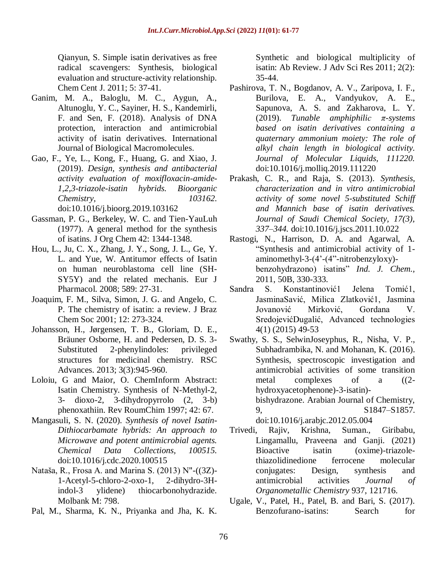Qianyun, S. Simple isatin derivatives as free radical scavengers: Synthesis, biological evaluation and structure-activity relationship. Chem Cent J. 2011; 5: 37-41.

- Ganim, M. A., Baloglu, M. C., Aygun, A., Altunoglu, Y. C., Sayiner, H. S., Kandemirli, F. and Sen, F. (2018). Analysis of DNA protection, interaction and antimicrobial activity of isatin derivatives. International Journal of Biological Macromolecules.
- Gao, F., Ye, L., Kong, F., Huang, G. and Xiao, J. (2019). *Design, synthesis and antibacterial activity evaluation of moxifloxacin-amide-1,2,3-triazole-isatin hybrids. Bioorganic Chemistry, 103162.* doi:10.1016/j.bioorg.2019.103162
- Gassman, P. G., Berkeley, W. C. and Tien-YauLuh (1977). A general method for the synthesis of isatins. J Org Chem 42: 1344-1348.
- Hou, L., Ju, C. X., Zhang, J. Y., Song, J. L., Ge, Y. L. and Yue, W. Antitumor effects of Isatin on human neuroblastoma cell line (SH-SY5Y) and the related mechanis. Eur J Pharmacol. 2008; 589: 27-31.
- Joaquim, F. M., Silva, Simon, J. G. and Angelo, C. P. The chemistry of isatin: a review. J Braz Chem Soc 2001; 12: 273-324.
- Johansson, H., Jørgensen, T. B., Gloriam, D. E., Bräuner Osborne, H. and Pedersen, D. S. 3- Substituted 2-phenylindoles: privileged structures for medicinal chemistry. RSC Advances. 2013; 3(3):945-960.
- Loloiu, G and Maior, O. ChemInform Abstract: Isatin Chemistry. Synthesis of N-Methyl-2, 3- dioxo-2, 3-dihydropyrrolo (2, 3-b) phenoxathiin. Rev RoumChim 1997; 42: 67.
- Mangasuli, S. N. (2020). *Synthesis of novel Isatin-Dithiocarbamate hybrids: An approach to Microwave and potent antimicrobial agents. Chemical Data Collections, 100515.* doi:10.1016/j.cdc.2020.100515
- Nataša, R., Frosa A. and Marina S. (2013) N"-((3Z)- 1-Acetyl-5-chloro-2-oxo-1, 2-dihydro-3Hindol-3 ylidene) thiocarbonohydrazide. Molbank M: 798.
- Pal, M., Sharma, K. N., Priyanka and Jha, K. K.

Synthetic and biological multiplicity of isatin: Ab Review. J Adv Sci Res 2011; 2(2): 35-44.

- Pashirova, T. N., Bogdanov, A. V., Zaripova, I. F., Burilova, E. A., Vandyukov, A. E., Sapunova, A. S. and Zakharova, L. Y. (2019). *Tunable amphiphilic π-systems based on isatin derivatives containing a quaternary ammonium moiety: The role of alkyl chain length in biological activity. Journal of Molecular Liquids, 111220.* doi:10.1016/j.molliq.2019.111220
- Prakash, C. R., and Raja, S. (2013). *Synthesis, characterization and in vitro antimicrobial activity of some novel 5-substituted Schiff and Mannich base of isatin derivatives. Journal of Saudi Chemical Society, 17(3), 337–344.* doi:10.1016/j.jscs.2011.10.022
- Rastogi, N., Harrison, D. A. and Agarwal, A. "Synthesis and antimicrobial activity of 1 aminomethyl-3-(4'-(4"-nitrobenzyloxy) benzohydrazono) isatins" *Ind. J. Chem.,*  2011, 50B, 330-333.
- Sandra S. Konstantinović1 Jelena Tomić1, JasminaSavić, Milica Zlatković1, Jasmina Jovanović Mirković, Gordana V. SredojevićDugalić, Advanced technologies 4(1) (2015) 49-53
- Swathy, S. S., SelwinJoseyphus, R., Nisha, V. P., Subhadrambika, N. and Mohanan, K. (2016). Synthesis, spectroscopic investigation and antimicrobial activities of some transition metal complexes of a ((2 hydroxyacetophenone)-3-isatin) bishydrazone. Arabian Journal of Chemistry, 9, S1847–S1857. doi:10.1016/j.arabjc.2012.05.004

[Trivedi,](https://www.sciencedirect.com/science/article/abs/pii/S0022328X21000371#!) Rajiv, Krishna, [Suman., Giribabu,](https://www.sciencedirect.com/science/article/abs/pii/S0022328X21000371#!)  Lingamallu, [Praveena and Ganji. \(2021\)](https://www.sciencedirect.com/science/article/abs/pii/S0022328X21000371#!)  [Bioactive isatin \(oxime\)-triazole](https://www.sciencedirect.com/science/article/abs/pii/S0022328X21000371#!)[thiazolidinedione ferrocene molecular](https://www.sciencedirect.com/science/article/abs/pii/S0022328X21000371#!)  [conjugates: Design, synthesis and](https://www.sciencedirect.com/science/article/abs/pii/S0022328X21000371#!)  [antimicrobial activities](https://www.sciencedirect.com/science/article/abs/pii/S0022328X21000371#!) *[Journal of](https://www.sciencedirect.com/science/article/abs/pii/S0022328X21000371#!)  [Organometallic Chemistry](https://www.sciencedirect.com/science/article/abs/pii/S0022328X21000371#!)* 937, 121716.

Ugale, V., Patel, H., Patel, B. and Bari, S. (2017). Benzofurano-isatins: Search for